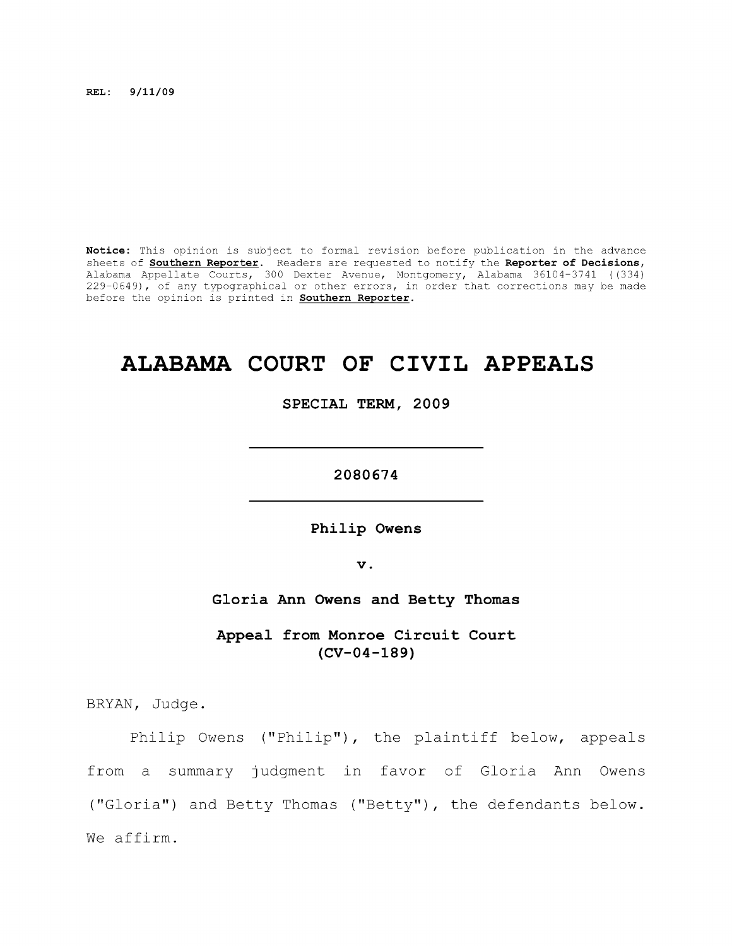**REL: 9/11/09** 

**Notice:** This opinion is subject to formal revision before publication in the advance sheets of **Southern Reporter.** Readers are requested to notify the **Reporter of Decisions,**  Alabama Appellate Courts, 300 Dexter Avenue, Montgomery, Alabama 36104-3741 ((334) 229-0649), of any typographical or other errors, in order that corrections may be made before the opinion is printed in **Southern Reporter.** 

# **ALABAMA COURT OF CIVIL APPEALS**

**SPECIAL TERM, 2009** 

**2080674** 

**Philip Owens** 

**V .** 

**Gloria Ann Owens and Betty Thomas** 

**Appeal from Monroe Circuit Court (CV-04-189)** 

BRYAN, Judge.

Philip Owens ("Philip"), the plaintiff below, appeals from a summary judgment in favor of Gloria Ann Owens ("Gloria") and Betty Thomas ("Betty"), the defendants below. We affirm.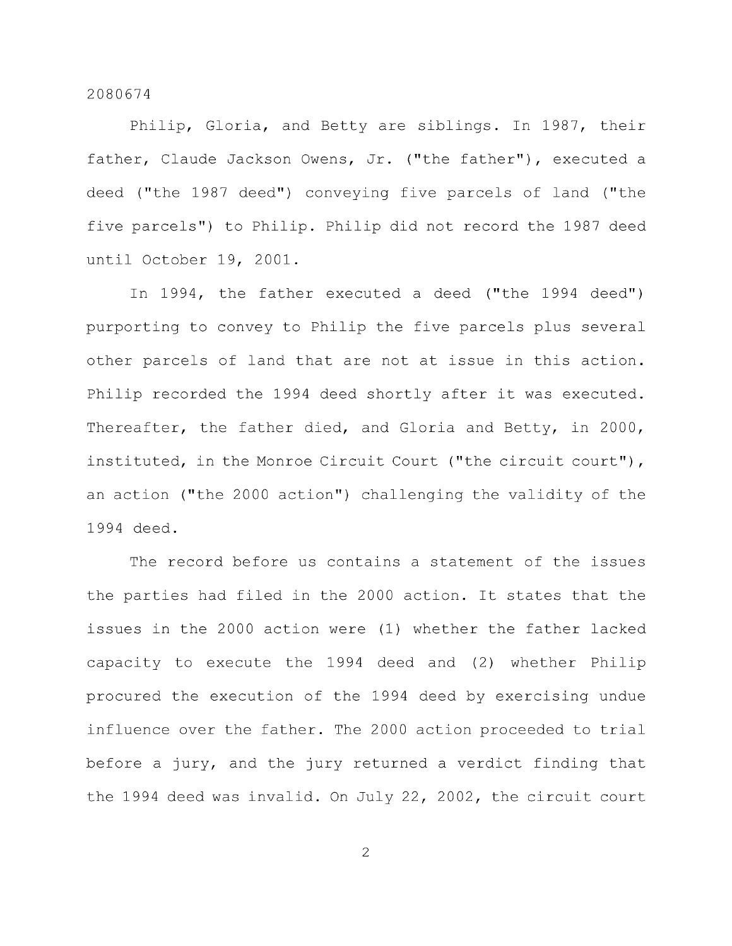Philip, Gloria, and Betty are siblings. In 1987, their father, Claude Jackson Owens, Jr. ("the father"), executed a deed ("the 1987 deed") conveying five parcels of land ("the five parcels") to Philip. Philip did not record the 1987 deed until October 19, 2001.

In 1994, the father executed a deed ("the 1994 deed") purporting to convey to Philip the five parcels plus several other parcels of land that are not at issue in this action. Philip recorded the 1994 deed shortly after it was executed. Thereafter, the father died, and Gloria and Betty, in 2000, instituted, in the Monroe Circuit Court ("the circuit court"), an action ("the 2000 action") challenging the validity of the 1994 deed.

The record before us contains a statement of the issues the parties had filed in the 2000 action. It states that the issues in the 2000 action were (1) whether the father lacked capacity to execute the 1994 deed and (2) whether Philip procured the execution of the 1994 deed by exercising undue influence over the father. The 2000 action proceeded to trial before a jury, and the jury returned a verdict finding that the 1994 deed was invalid. On July 22, 2002, the circuit court

2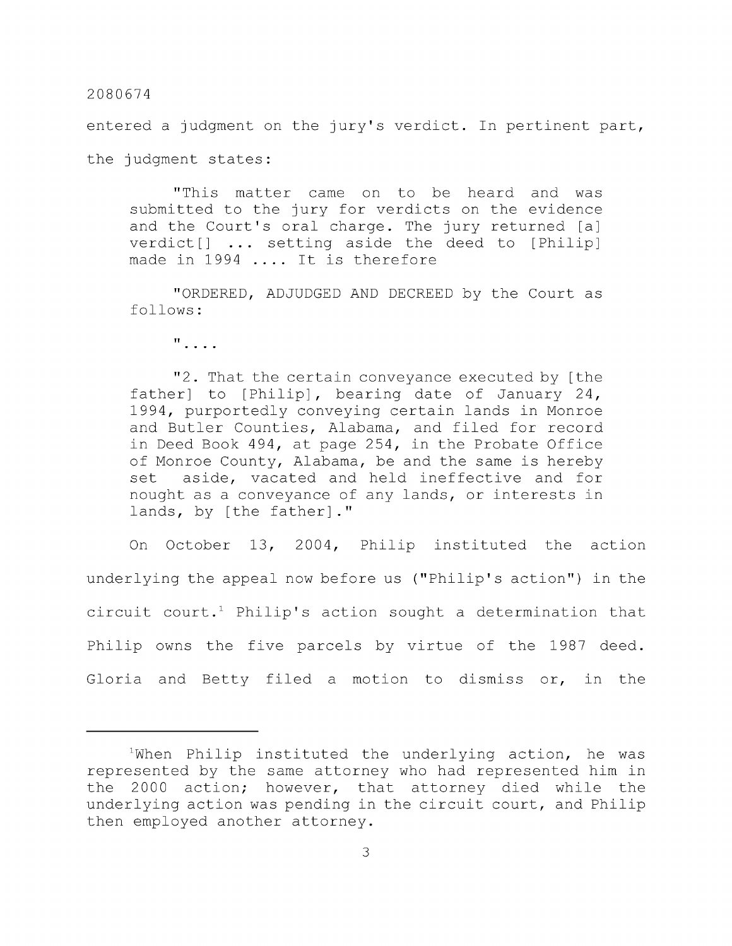entered a judgment on the jury's verdict. In pertinent part, the judgment states:

"This matter came on to be heard and was submitted to the jury for verdicts on the evidence and the Court's oral charge. The jury returned [a] verdict[] ... setting aside the deed to [Philip] made in 1994 .... It is therefore

"ORDERED, ADJUDGED AND DECREED by the Court as follows:

 $\mathbf{u}$ , ...

"2. That the certain conveyance executed by [the father] to [Philip], bearing date of January 24, 1994, purportedly conveying certain lands in Monroe and Butler Counties, Alabama, and filed for record in Deed Book 494, at page 254, in the Probate Office of Monroe County, Alabama, be and the same is hereby set aside, vacated and held ineffective and for nought as a conveyance of any lands, or interests in lands, by [the father]."

On October 13, 2004, Philip instituted the action underlying the appeal now before us ("Philip's action") in the circuit court.<sup>1</sup> Philip's action sought a determination that Philip owns the five parcels by virtue of the 1987 deed. Gloria and Betty filed a motion to dismiss or, in the

 $1$ When Philip instituted the underlying action, he was represented by the same attorney who had represented him in the 2000 action; however, that attorney died while the underlying action was pending in the circuit court, and Philip then employed another attorney.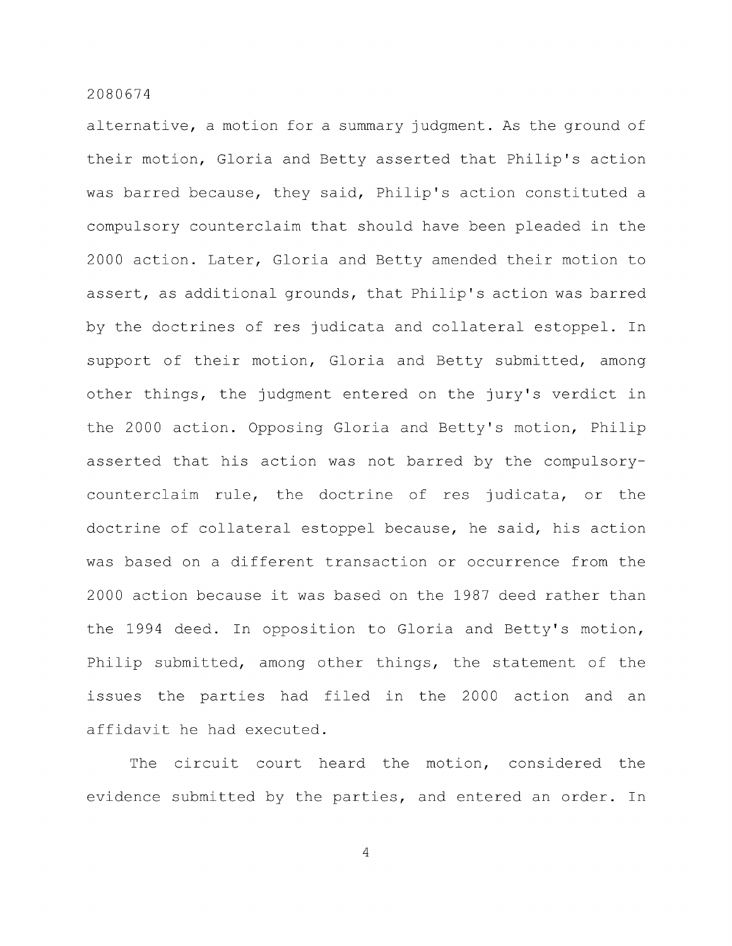alternative, a motion for a summary judgment. As the ground of their motion, Gloria and Betty asserted that Philip's action was barred because, they said, Philip's action constituted a compulsory counterclaim that should have been pleaded in the 2000 action. Later, Gloria and Betty amended their motion to assert, as additional grounds, that Philip's action was barred by the doctrines of res judicata and collateral estoppel. In support of their motion, Gloria and Betty submitted, among other things, the judgment entered on the jury's verdict in the 2000 action. Opposing Gloria and Betty's motion, Philip asserted that his action was not barred by the compulsorycounterclaim rule, the doctrine of res judicata, or the doctrine of collateral estoppel because, he said, his action was based on a different transaction or occurrence from the 2000 action because it was based on the 1987 deed rather than the 1994 deed. In opposition to Gloria and Betty's motion, Philip submitted, among other things, the statement of the issues the parties had filed in the 2000 action and an affidavit he had executed.

The circuit court heard the motion, considered the evidence submitted by the parties, and entered an order. In

 $\overline{4}$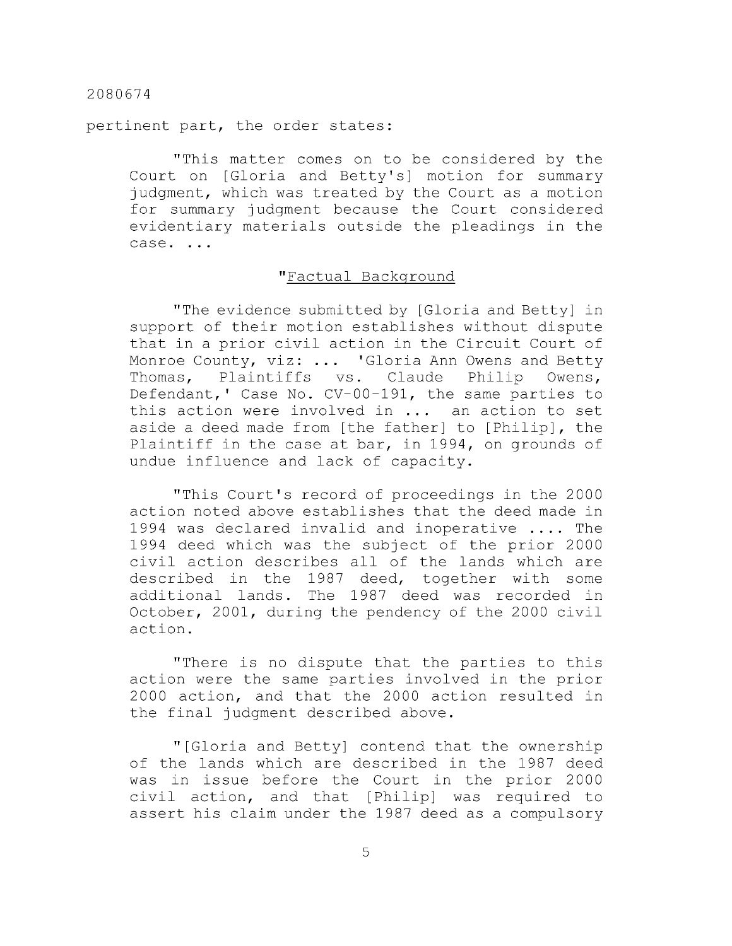pertinent part, the order states:

"This matter comes on to be considered by the Court on [Gloria and Betty's] motion for summary judgment, which was treated by the Court as a motion for summary judgment because the Court considered evidentiary materials outside the pleadings in the  $\c{case} \ldots$ 

## "Factual Background

"The evidence submitted by [Gloria and Betty] in support of their motion establishes without dispute that in a prior civil action in the Circuit Court of Monroe County, viz: ... 'Gloria Ann Owens and Betty Thomas, Plaintiffs vs. Claude Philip Owens, Defendant,' Case No. CV-00-191, the same parties to this action were involved in ... an action to set aside a deed made from [the father] to [Philip], the Plaintiff in the case at bar, in 1994, on grounds of undue influence and lack of capacity.

"This Court's record of proceedings in the 2000 action noted above establishes that the deed made in 1994 was declared invalid and inoperative .... The 1994 deed which was the subject of the prior 2000 civil action describes all of the lands which are described in the 1987 deed, together with some additional lands. The 1987 deed was recorded in October, 2001, during the pendency of the 2000 civil action.

"There is no dispute that the parties to this action were the same parties involved in the prior 2000 action, and that the 2000 action resulted in the final judgment described above.

"[Gloria and Betty] contend that the ownership of the lands which are described in the 1987 deed was in issue before the Court in the prior 2000 civil action, and that [Philip] was required to assert his claim under the 1987 deed as a compulsory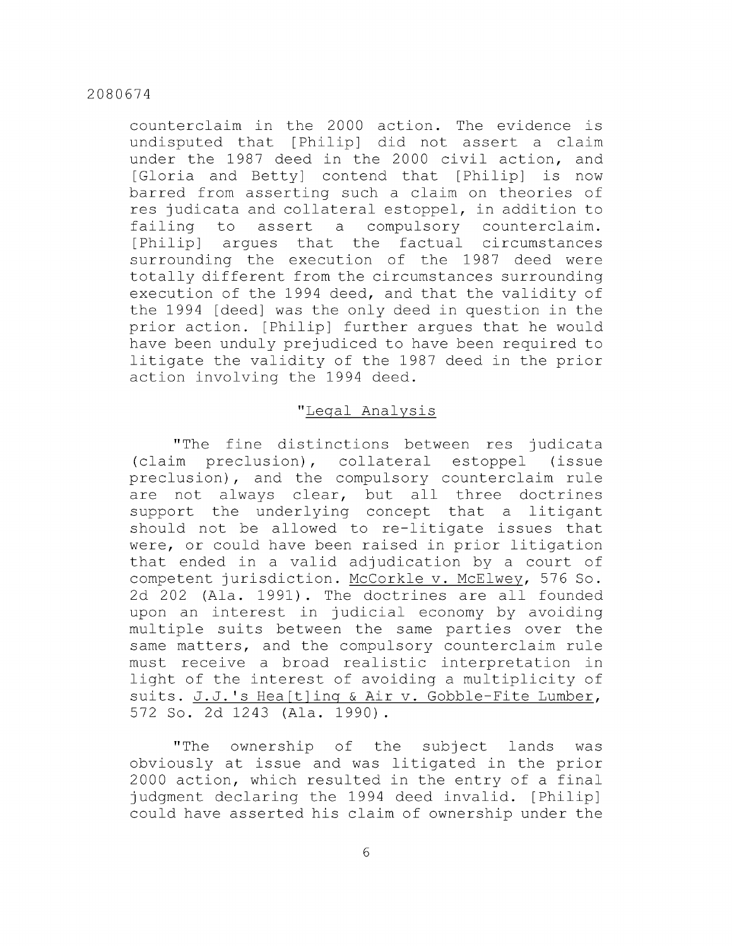counterclaim in the 2000 action. The evidence is undisputed that [Philip] did not assert a claim under the 1987 deed in the 2000 civil action, and [Gloria and Betty] contend that [Philip] is now barred from asserting such a claim on theories of res judicata and collateral estoppel, in addition to failing to assert a compulsory counterclaim. [Philip] argues that the factual circumstances surrounding the execution of the 1987 deed were totally different from the circumstances surrounding execution of the 1994 deed, and that the validity of the 1994 [deed] was the only deed in question in the prior action. [Philip] further argues that he would have been unduly prejudiced to have been required to litigate the validity of the 1987 deed in the prior action involving the 1994 deed.

# "Legal Analysis

"The fine distinctions between res judicata (claim preclusion), collateral estoppel (issue preclusion), and the compulsory counterclaim rule are not always clear, but all three doctrines support the underlying concept that a litigant should not be allowed to re-litigate issues that were, or could have been raised in prior litigation that ended in a valid adjudication by a court of competent jurisdiction. McCorkle v. McElwey, 576 So. 2d 202 (Ala. 1991). The doctrines are all founded upon an interest in judicial economy by avoiding multiple suits between the same parties over the same matters, and the compulsory counterclaim rule must receive a broad realistic interpretation in light of the interest of avoiding a multiplicity of suits. J.J.'s Hea[t]ing & Air v. Gobble-Fite Lumber, 572 So. 2d 1243 (Ala. 1990).

"The ownership of the subject lands was obviously at issue and was litigated in the prior 2000 action, which resulted in the entry of a final judgment declaring the 1994 deed invalid. [Philip] could have asserted his claim of ownership under the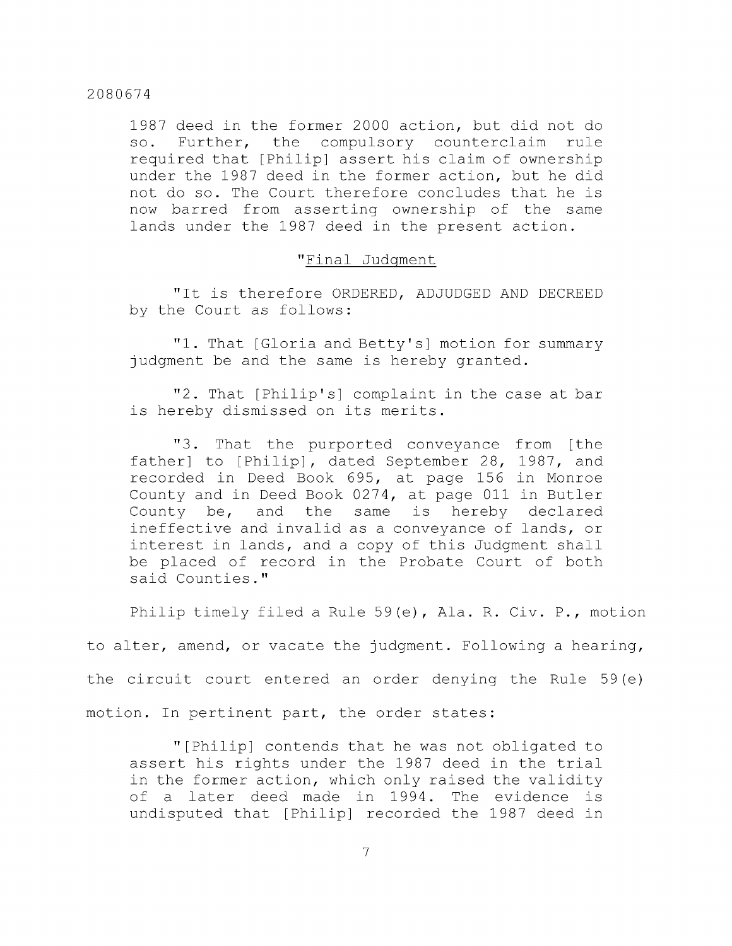1987 deed in the former 2000 action, but did not do so. Further, the compulsory counterclaim rule required that [Philip] assert his claim of ownership under the 1987 deed in the former action, but he did not do so. The Court therefore concludes that he is now barred from asserting ownership of the same lands under the 1987 deed in the present action.

#### "Final Judgment

"It is therefore ORDERED, ADJUDGED AND DECREED by the Court as follows:

"1. That [Gloria and Betty's] motion for summary judgment be and the same is hereby granted.

"2. That [Philip's] complaint in the case at bar is hereby dismissed on its merits.

"3. That the purported conveyance from [the father] to [Philip], dated September 28, 1987, and recorded in Deed Book 695, at page 156 in Monroe County and in Deed Book 0274, at page Oil in Butler County be, and the same is hereby declared ineffective and invalid as a conveyance of lands, or interest in lands, and a copy of this Judgment shall be placed of record in the Probate Court of both said Counties."

Philip timely filed a Rule 59(e), Ala. R. Civ. P., motion

to alter, amend, or vacate the judgment. Following a hearing,

the circuit court entered an order denying the Rule 59(e)

motion. In pertinent part, the order states:

"[Philip] contends that he was not obligated to assert his rights under the 1987 deed in the trial in the former action, which only raised the validity of a later deed made in 1994. The evidence is undisputed that [Philip] recorded the 1987 deed in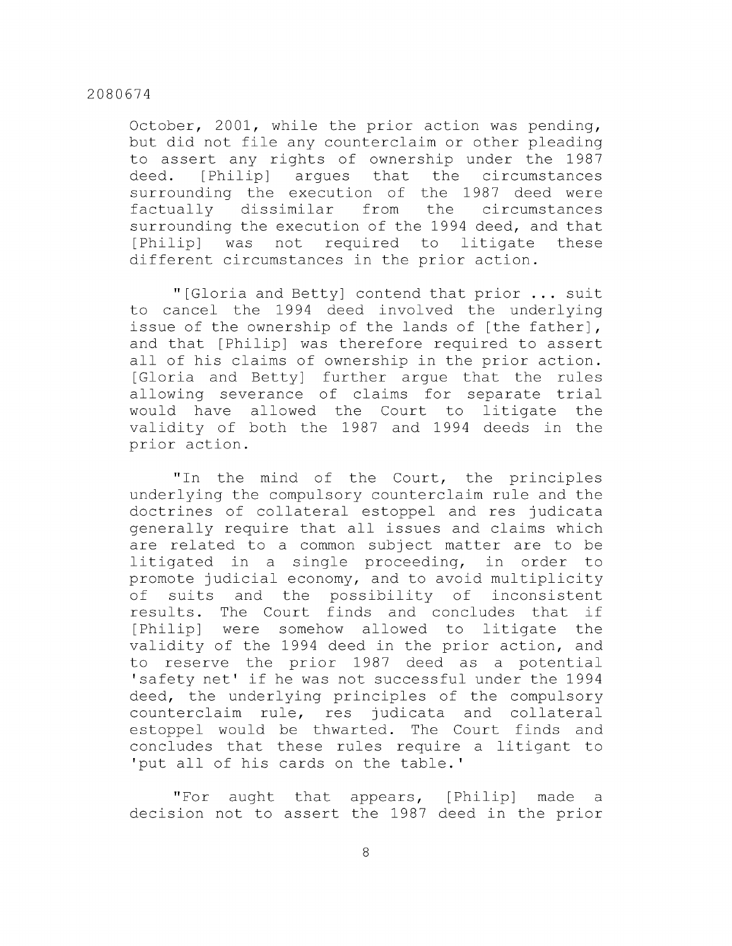October, 2001, while the prior action was pending, but did not file any counterclaim or other pleading to assert any rights of ownership under the 1987 deed. [Philip] argues that the circumstances surrounding the execution of the 1987 deed were factually dissimilar from the circumstances surrounding the execution of the 1994 deed, and that [Philip] was not required to litigate these different circumstances in the prior action.

"[Gloria and Betty] contend that prior ... suit to cancel the 1994 deed involved the underlying issue of the ownership of the lands of [the father], and that [Philip] was therefore required to assert all of his claims of ownership in the prior action. [Gloria and Betty] further argue that the rules allowing severance of claims for separate trial would have allowed the Court to litigate the validity of both the 1987 and 1994 deeds in the prior action.

"In the mind of the Court, the principles underlying the compulsory counterclaim rule and the doctrines of collateral estoppel and res judicata generally require that all issues and claims which are related to a common subject matter are to be litigated in a single proceeding, in order to promote judicial economy, and to avoid multiplicity of suits and the possibility of inconsistent results. The Court finds and concludes that if [Philip] were somehow allowed to litigate the validity of the 1994 deed in the prior action, and to reserve the prior 1987 deed as a potential 'safety net' if he was not successful under the 1994 deed, the underlying principles of the compulsory counterclaim rule, res judicata and collateral estoppel would be thwarted. The Court finds and concludes that these rules require a litigant to 'put all of his cards on the table.'

"For aught that appears, [Philip] made a decision not to assert the 1987 deed in the prior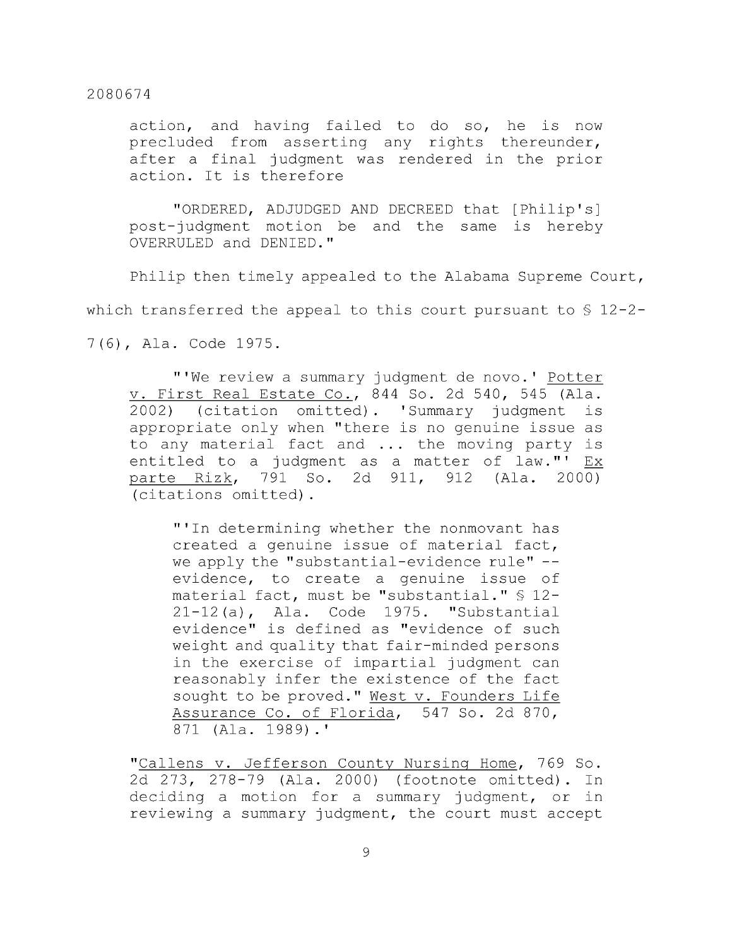action, and having failed to do so, he is now precluded from asserting any rights thereunder, after a final judgment was rendered in the prior action. It is therefore

"ORDERED, ADJUDGED AND DECREED that [Philip's] post-judgment motion be and the same is hereby OVERRULED and DENIED."

Philip then timely appealed to the Alabama Supreme Court,

which transferred the appeal to this court pursuant to  $\S$  12-2-

7 (6) , Ala. Code 1975.

"'We review a summary judgment de novo.' Potter V. First Real Estate Co., 844 So. 2d 540, 545 (Ala. 2002) (citation omitted). 'Summary judgment is appropriate only when "there is no genuine issue as to any material fact and ... the moving party is entitled to a judgment as a matter of law."<sup>1</sup> Ex parte Rizk, 791 So. 2d 911, 912 (Ala. 2000) (citations omitted).

"'In determining whether the nonmovant has created a genuine issue of material fact, we apply the "substantial-evidence rule" -evidence, to create a genuine issue of material fact, must be "substantial." § 12- 21-12 (a), Ala. Code 1975. "Substantial evidence" is defined as "evidence of such weight and quality that fair-minded persons in the exercise of impartial judgment can reasonably infer the existence of the fact sought to be proved." West v. Founders Life Assurance Co. of Florida, 547 So. 2d 870, 871 (Ala. 1989).'

"Callens v. Jefferson County Nursing Home, 769 So. 2d 273, 278-79 (Ala. 2000) (footnote omitted). In deciding a motion for a summary judgment, or in reviewing a summary judgment, the court must accept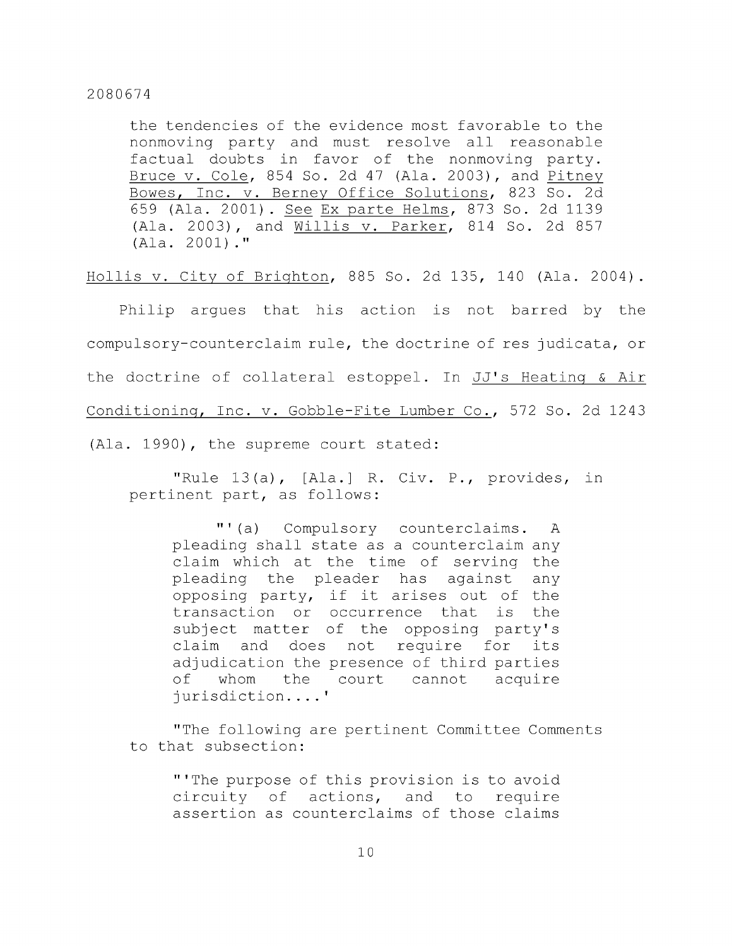the tendencies of the evidence most favorable to the nonmoving party and must resolve all reasonable factual doubts in favor of the nonmoving party. Bruce V. Cole, 854 So. 2d 47 (Ala. 2003), and Pitney Bowes, Inc. v. Berney Office Solutions, 823 So. 2d 659 (Ala. 2001) . See Ex parte Helms, 873 So. 2d 1139 (Ala. 2003), and Willis v. Parker, 814 So. 2d 857 (Ala. 2001)."

Hollis V. City of Brighton, 885 So. 2d 135, 140 (Ala. 2004) .

Philip argues that his action is not barred by the compulsory-counterclaim rule, the doctrine of res judicata, or the doctrine of collateral estoppel. In JJ's Heating & Air Conditioning, Inc. v. Gobble-Fite Lumber Co., 572 So. 2d 1243 (Ala. 1990), the supreme court stated:

"Rule 13(a), [Ala.] R. Civ. P., provides, in pertinent part, as follows:

"' (a) Compulsory counterclaims. A pleading shall state as a counterclaim any claim which at the time of serving the pleading the pleader has against any opposing party, if it arises out of the transaction or occurrence that is the subject matter of the opposing party's claim and does not require for its adjudication the presence of third parties of whom the court cannot acquire jurisdiction....'

"The following are pertinent Committee Comments to that subsection:

"'The purpose of this provision is to avoid circuity of actions, and to require assertion as counterclaims of those claims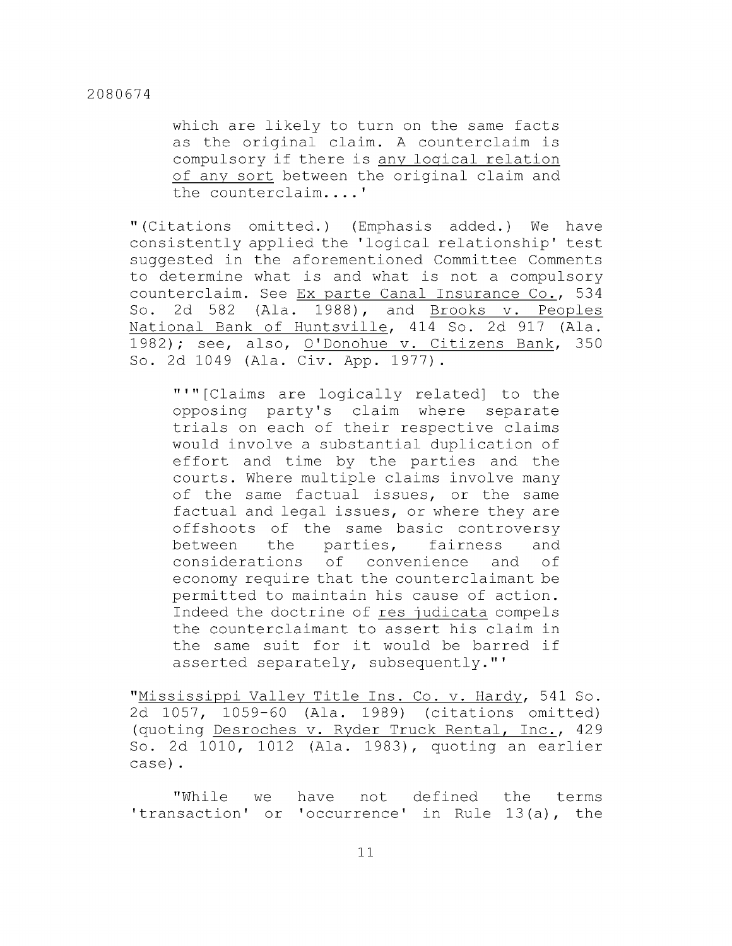which are likely to turn on the same facts as the original claim. A counterclaim is compulsory if there is any logical relation of any sort between the original claim and the counterclaim....'

" (Citations omitted.) (Emphasis added.) We have consistently applied the 'logical relationship' test suggested in the aforementioned Committee Comments to determine what is and what is not a compulsory counterclaim. See Ex parte Canal Insurance Co., 534 So. 2d 582 (Ala. 1988), and Brooks v. Peoples National Bank of Huntsville, 414 So. 2d 917 (Ala. 1982); see, also, O'Donohue v. Citizens Bank, 350 So. 2d 1049 (Ala. Civ. App. 1977).

"'"[Claims are logically related] to the opposing party's claim where separate trials on each of their respective claims would involve a substantial duplication of effort and time by the parties and the courts. Where multiple claims involve many of the same factual issues, or the same factual and legal issues, or where they are offshoots of the same basic controversy between the parties, fairness and considerations of convenience and of economy require that the counterclaimant be permitted to maintain his cause of action. Indeed the doctrine of res judicata compels the counterclaimant to assert his claim in the same suit for it would be barred if asserted separately, subsequently."'

"Mississippi Valley Title Ins. Co. v. Hardy, 541 So. 2d 1057, 1059-60 (Ala. 1989) (citations omitted) (quoting Desroches v. Ryder Truck Rental, Inc., 429 So. 2d 1010, 1012 (Ala. 1983), quoting an earlier case) .

"While we have not defined the terms 'transaction' or 'occurrence' in Rule 13(a), the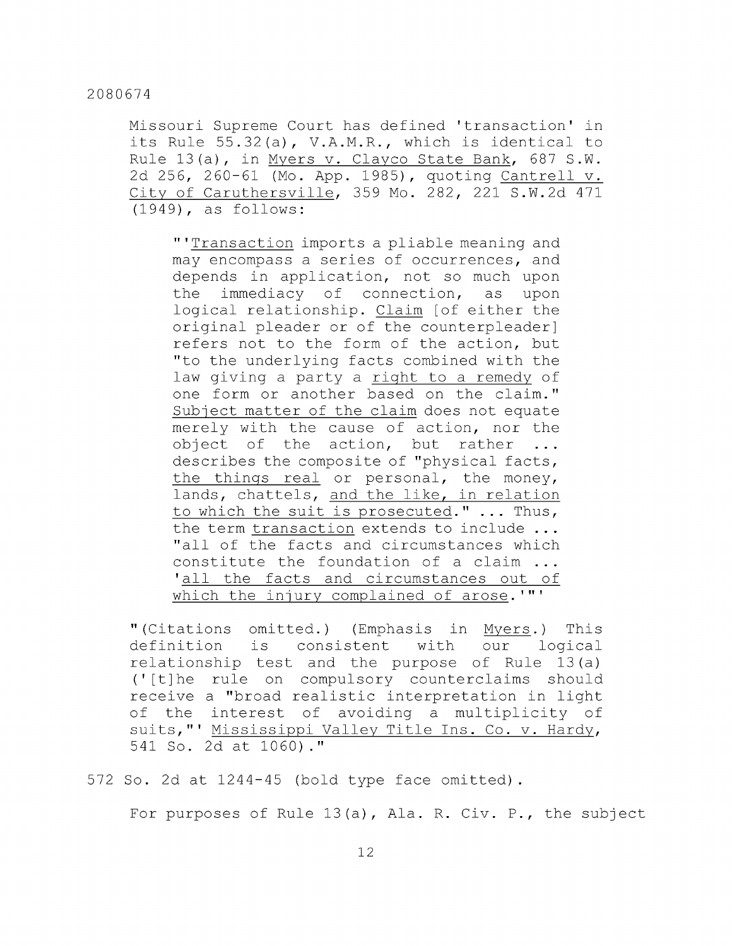Missouri Supreme Court has defined 'transaction' in its Rule 55.32(a), V.A.M.R., which is identical to Rule 13(a), in Myers v. Clayco State Bank, 687 S.W. 2d 256, 260-61 (Mo. App. 1985), quoting Cantrell v. City of Caruthersville, 359 Mo. 282, 221 S.W.2d 471 (1949), as follows:

"'Transaction imports a pliable meaning and may encompass a series of occurrences, and depends in application, not so much upon the immediacy of connection, as upon logical relationship. Claim [of either the original pleader or of the counterpleader] refers not to the form of the action, but "to the underlying facts combined with the law giving a party a right to a remedy of one form or another based on the claim." Subject matter of the claim does not equate merely with the cause of action, nor the object of the action, but rather ... describes the composite of "physical facts, the things real or personal, the money, lands, chattels, and the like, in relation to which the suit is prosecuted." ... Thus, the term transaction extends to include ... "all of the facts and circumstances which constitute the foundation of a claim ... 'all the facts and circumstances out of which the injury complained of arose.'"'

" (Citations omitted.) (Emphasis in Myers.) This definition is consistent with our logical relationship test and the purpose of Rule 13 (a) ('[t]he rule on compulsory counterclaims should receive a "broad realistic interpretation in light of the interest of avoiding a multiplicity of suits,"' Mississippi Valley Title Ins. Co. v. Hardy, 541 So. 2d at 1060) ."

572 So. 2d at 1244-45 (bold type face omitted).

For purposes of Rule  $13(a)$ , Ala. R. Civ. P., the subject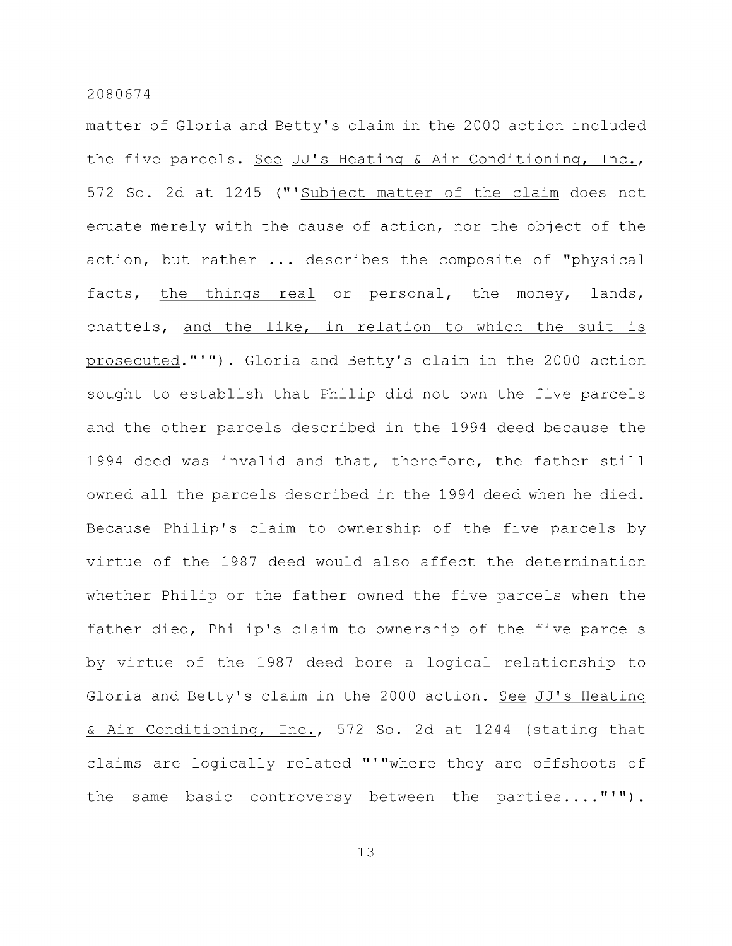matter of Gloria and Betty's claim in the 2000 action included the five parcels. See JJ's Heating & Air Conditioning, Inc., 572 So. 2d at 1245 ("'Subject matter of the claim does not equate merely with the cause of action, nor the object of the action, but rather ... describes the composite of "physical facts, the things real or personal, the money, lands, chattels, and the like, in relation to which the suit is prosecuted."'"). Gloria and Betty's claim in the 2000 action sought to establish that Philip did not own the five parcels and the other parcels described in the 1994 deed because the 1994 deed was invalid and that, therefore, the father still owned all the parcels described in the 1994 deed when he died. Because Philip's claim to ownership of the five parcels by virtue of the 1987 deed would also affect the determination whether Philip or the father owned the five parcels when the father died, Philip's claim to ownership of the five parcels by virtue of the 1987 deed bore a logical relationship to Gloria and Betty's claim in the 2000 action. See JJ's Heating & Air Conditioning, Inc., 572 So. 2d at 1244 (stating that claims are logically related "'"where they are offshoots of the same basic controversy between the parties...."'").

13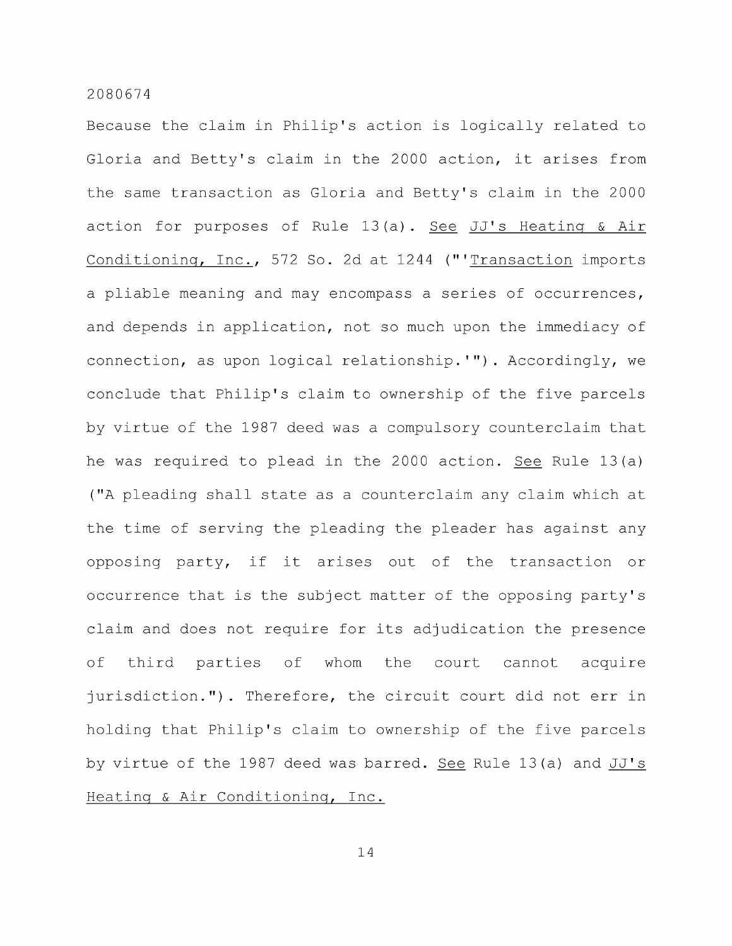Because the claim in Philip's action is logically related to Gloria and Betty's claim in the 2000 action, it arises from the same transaction as Gloria and Betty's claim in the 2000 action for purposes of Rule 13 (a) . See JJ's Heating & Air Conditioning, Inc., 572 So. 2d at 1244 ("'Transaction imports a pliable meaning and may encompass a series of occurrences, and depends in application, not so much upon the immediacy of connection, as upon logical relationship.'") . Accordingly, we conclude that Philip's claim to ownership of the five parcels by virtue of the 1987 deed was a compulsory counterclaim that he was required to plead in the 2000 action. See Rule 13(a) ("A pleading shall state as a counterclaim any claim which at the time of serving the pleading the pleader has against any opposing party, if it arises out of the transaction or occurrence that is the subject matter of the opposing party's claim and does not require for its adjudication the presence of third parties of whom the court cannot acquire jurisdiction."). Therefore, the circuit court did not err in holding that Philip's claim to ownership of the five parcels by virtue of the 1987 deed was barred. See Rule 13(a) and JJ' s Heating & Air Conditioning, Inc.

14